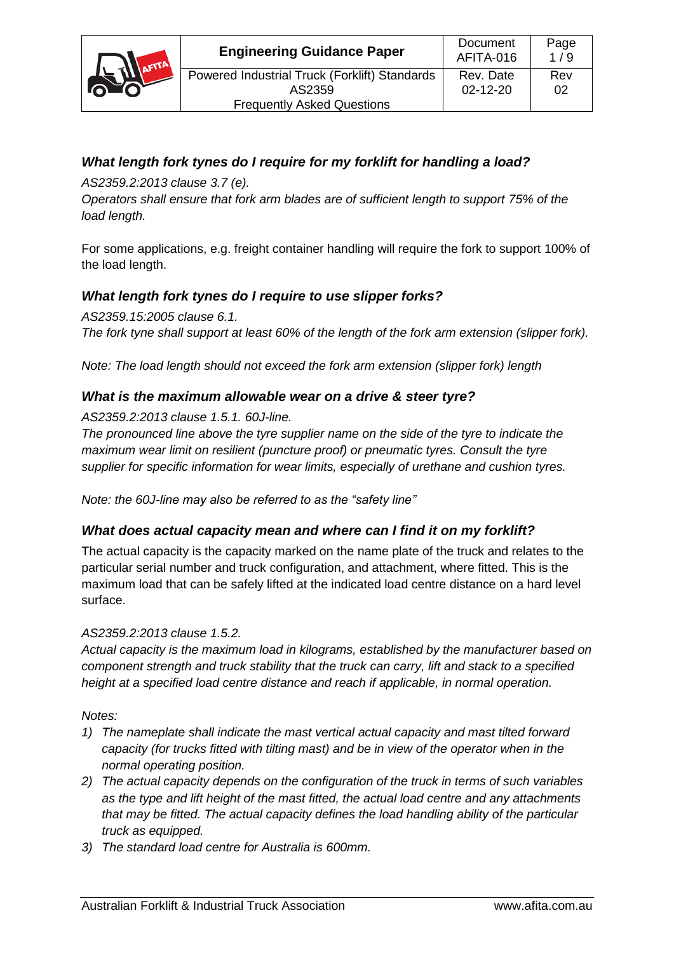

# *What length fork tynes do I require for my forklift for handling a load?*

*AS2359.2:2013 clause 3.7 (e).*

*Operators shall ensure that fork arm blades are of sufficient length to support 75% of the load length.*

For some applications, e.g. freight container handling will require the fork to support 100% of the load length.

## *What length fork tynes do I require to use slipper forks?*

*AS2359.15:2005 clause 6.1. The fork tyne shall support at least 60% of the length of the fork arm extension (slipper fork).* 

*Note: The load length should not exceed the fork arm extension (slipper fork) length*

## *What is the maximum allowable wear on a drive & steer tyre?*

*AS2359.2:2013 clause 1.5.1. 60J-line.*

*The pronounced line above the tyre supplier name on the side of the tyre to indicate the maximum wear limit on resilient (puncture proof) or pneumatic tyres. Consult the tyre supplier for specific information for wear limits, especially of urethane and cushion tyres.*

*Note: the 60J-line may also be referred to as the "safety line"*

## *What does actual capacity mean and where can I find it on my forklift?*

The actual capacity is the capacity marked on the name plate of the truck and relates to the particular serial number and truck configuration, and attachment, where fitted. This is the maximum load that can be safely lifted at the indicated load centre distance on a hard level surface.

#### *AS2359.2:2013 clause 1.5.2.*

*Actual capacity is the maximum load in kilograms, established by the manufacturer based on component strength and truck stability that the truck can carry, lift and stack to a specified height at a specified load centre distance and reach if applicable, in normal operation.*

*Notes:*

- *1) The nameplate shall indicate the mast vertical actual capacity and mast tilted forward capacity (for trucks fitted with tilting mast) and be in view of the operator when in the normal operating position.*
- *2) The actual capacity depends on the configuration of the truck in terms of such variables as the type and lift height of the mast fitted, the actual load centre and any attachments that may be fitted. The actual capacity defines the load handling ability of the particular truck as equipped.*
- *3) The standard load centre for Australia is 600mm.*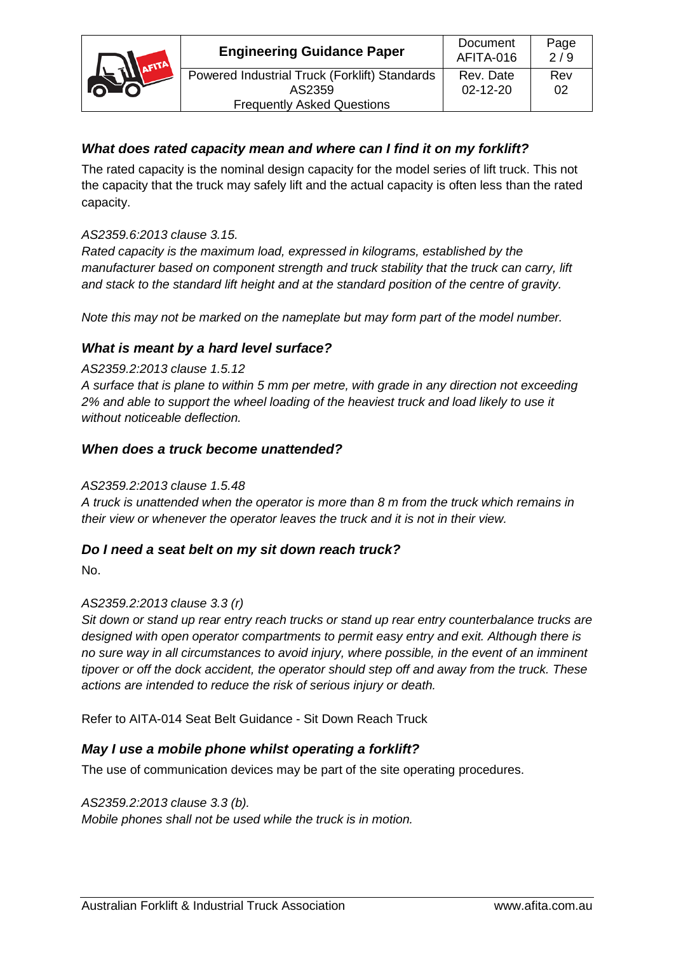

# *What does rated capacity mean and where can I find it on my forklift?*

The rated capacity is the nominal design capacity for the model series of lift truck. This not the capacity that the truck may safely lift and the actual capacity is often less than the rated capacity.

## *AS2359.6:2013 clause 3.15.*

*Rated capacity is the maximum load, expressed in kilograms, established by the manufacturer based on component strength and truck stability that the truck can carry, lift and stack to the standard lift height and at the standard position of the centre of gravity.* 

*Note this may not be marked on the nameplate but may form part of the model number.*

## *What is meant by a hard level surface?*

### *AS2359.2:2013 clause 1.5.12*

*A surface that is plane to within 5 mm per metre, with grade in any direction not exceeding 2% and able to support the wheel loading of the heaviest truck and load likely to use it without noticeable deflection.*

## *When does a truck become unattended?*

## *AS2359.2:2013 clause 1.5.48*

*A truck is unattended when the operator is more than 8 m from the truck which remains in their view or whenever the operator leaves the truck and it is not in their view.*

## *Do I need a seat belt on my sit down reach truck?*

No.

## *AS2359.2:2013 clause 3.3 (r)*

*Sit down or stand up rear entry reach trucks or stand up rear entry counterbalance trucks are designed with open operator compartments to permit easy entry and exit. Although there is no sure way in all circumstances to avoid injury, where possible, in the event of an imminent tipover or off the dock accident, the operator should step off and away from the truck. These actions are intended to reduce the risk of serious injury or death.*

Refer to AITA-014 Seat Belt Guidance - Sit Down Reach Truck

## *May I use a mobile phone whilst operating a forklift?*

The use of communication devices may be part of the site operating procedures.

*AS2359.2:2013 clause 3.3 (b). Mobile phones shall not be used while the truck is in motion.*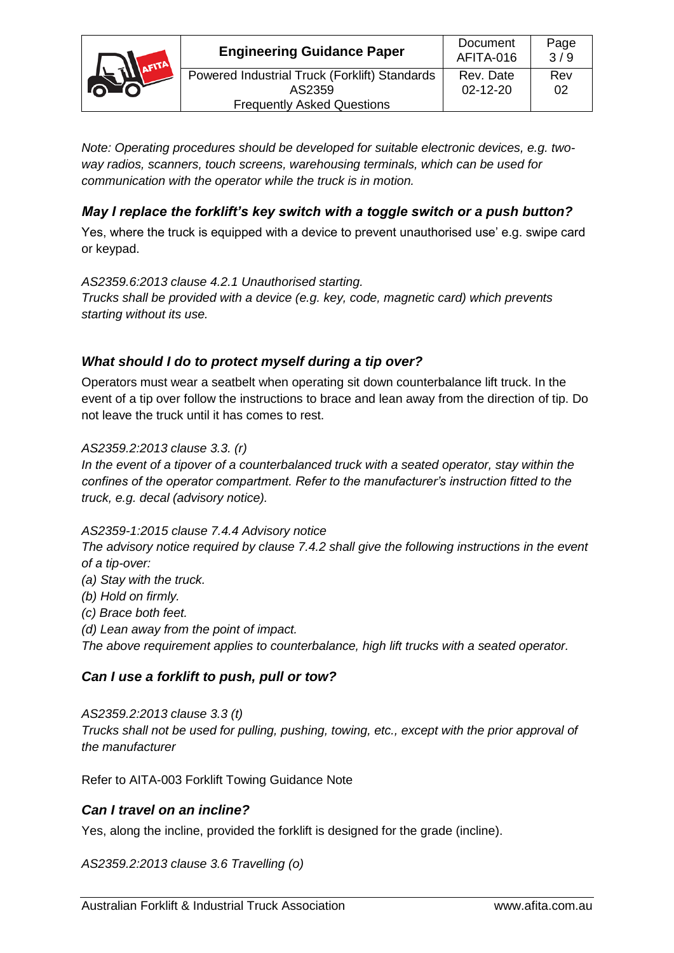

*Note: Operating procedures should be developed for suitable electronic devices, e.g. twoway radios, scanners, touch screens, warehousing terminals, which can be used for communication with the operator while the truck is in motion.*

# *May I replace the forklift's key switch with a toggle switch or a push button?*

Yes, where the truck is equipped with a device to prevent unauthorised use' e.g. swipe card or keypad.

### *AS2359.6:2013 clause 4.2.1 Unauthorised starting.*

*Trucks shall be provided with a device (e.g. key, code, magnetic card) which prevents starting without its use.*

## *What should I do to protect myself during a tip over?*

Operators must wear a seatbelt when operating sit down counterbalance lift truck. In the event of a tip over follow the instructions to brace and lean away from the direction of tip. Do not leave the truck until it has comes to rest.

#### *AS2359.2:2013 clause 3.3. (r)*

*In the event of a tipover of a counterbalanced truck with a seated operator, stay within the confines of the operator compartment. Refer to the manufacturer's instruction fitted to the truck, e.g. decal (advisory notice).*

#### *AS2359-1:2015 clause 7.4.4 Advisory notice*

*The advisory notice required by clause 7.4.2 shall give the following instructions in the event of a tip-over:*

*(a) Stay with the truck.*

*(b) Hold on firmly.*

*(c) Brace both feet.*

*(d) Lean away from the point of impact. The above requirement applies to counterbalance, high lift trucks with a seated operator.*

## *Can I use a forklift to push, pull or tow?*

*AS2359.2:2013 clause 3.3 (t) Trucks shall not be used for pulling, pushing, towing, etc., except with the prior approval of the manufacturer*

Refer to AITA-003 Forklift Towing Guidance Note

## *Can I travel on an incline?*

Yes, along the incline, provided the forklift is designed for the grade (incline).

*AS2359.2:2013 clause 3.6 Travelling (o)*

02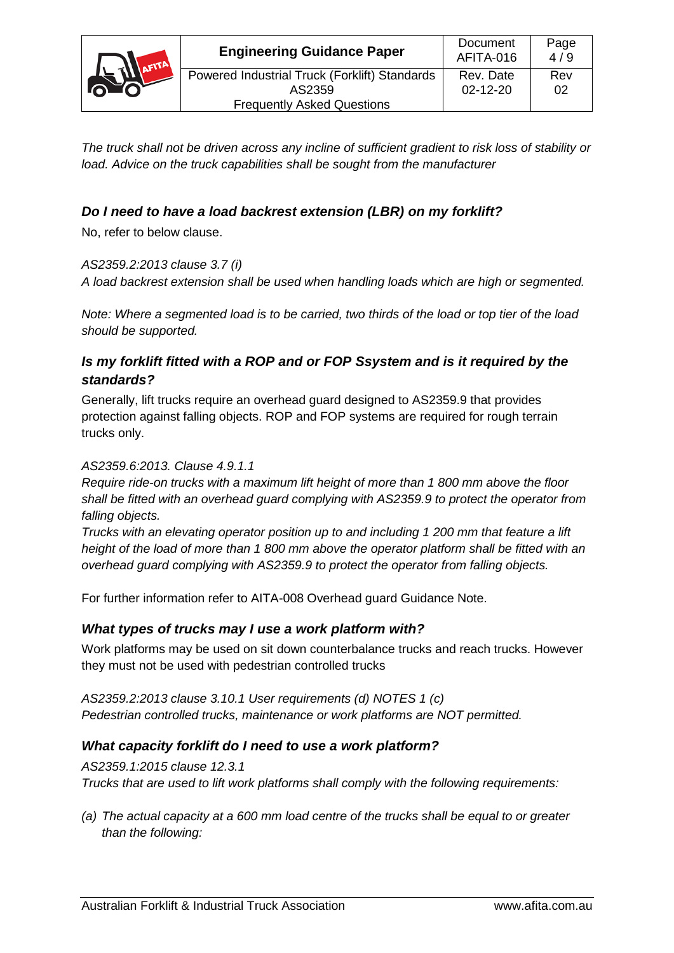

*The truck shall not be driven across any incline of sufficient gradient to risk loss of stability or load. Advice on the truck capabilities shall be sought from the manufacturer*

# *Do I need to have a load backrest extension (LBR) on my forklift?*

No, refer to below clause.

### *AS2359.2:2013 clause 3.7 (i)*

*A load backrest extension shall be used when handling loads which are high or segmented.*

*Note: Where a segmented load is to be carried, two thirds of the load or top tier of the load should be supported.*

## *Is my forklift fitted with a ROP and or FOP Ssystem and is it required by the standards?*

Generally, lift trucks require an overhead guard designed to AS2359.9 that provides protection against falling objects. ROP and FOP systems are required for rough terrain trucks only.

### *AS2359.6:2013. Clause 4.9.1.1*

*Require ride-on trucks with a maximum lift height of more than 1 800 mm above the floor shall be fitted with an overhead guard complying with AS2359.9 to protect the operator from falling objects.*

*Trucks with an elevating operator position up to and including 1 200 mm that feature a lift height of the load of more than 1 800 mm above the operator platform shall be fitted with an overhead guard complying with AS2359.9 to protect the operator from falling objects.*

For further information refer to AITA-008 Overhead guard Guidance Note.

## *What types of trucks may I use a work platform with?*

Work platforms may be used on sit down counterbalance trucks and reach trucks. However they must not be used with pedestrian controlled trucks

*AS2359.2:2013 clause 3.10.1 User requirements (d) NOTES 1 (c) Pedestrian controlled trucks, maintenance or work platforms are NOT permitted.*

## *What capacity forklift do I need to use a work platform?*

*AS2359.1:2015 clause 12.3.1 Trucks that are used to lift work platforms shall comply with the following requirements:*

*(a) The actual capacity at a 600 mm load centre of the trucks shall be equal to or greater than the following:*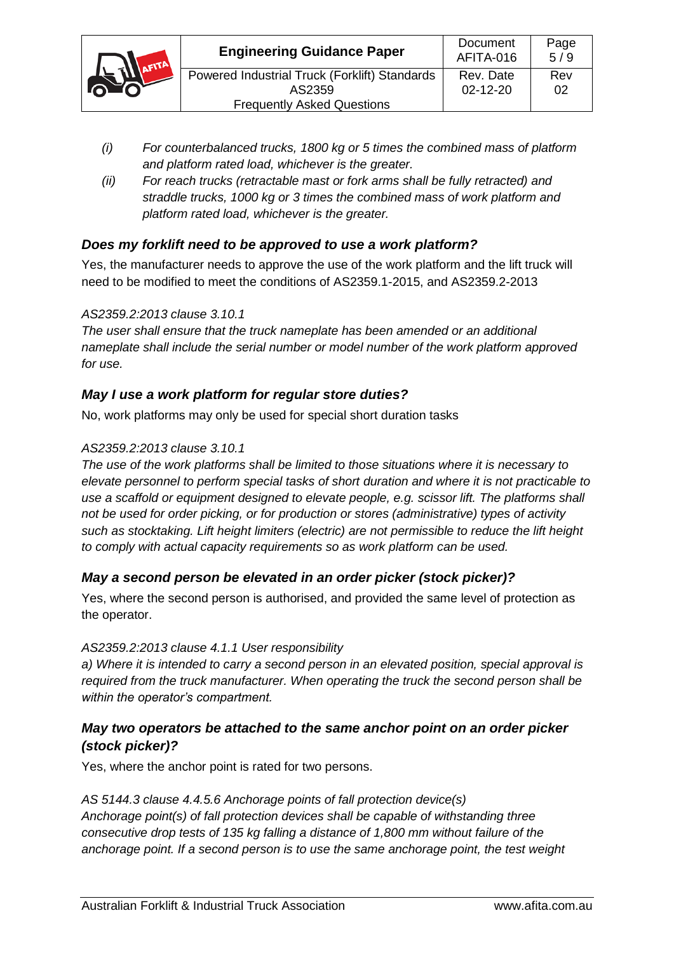

- *(i) For counterbalanced trucks, 1800 kg or 5 times the combined mass of platform and platform rated load, whichever is the greater.*
- *(ii) For reach trucks (retractable mast or fork arms shall be fully retracted) and straddle trucks, 1000 kg or 3 times the combined mass of work platform and platform rated load, whichever is the greater.*

## *Does my forklift need to be approved to use a work platform?*

Yes, the manufacturer needs to approve the use of the work platform and the lift truck will need to be modified to meet the conditions of AS2359.1-2015, and AS2359.2-2013

#### *AS2359.2:2013 clause 3.10.1*

*The user shall ensure that the truck nameplate has been amended or an additional nameplate shall include the serial number or model number of the work platform approved for use.*

## *May I use a work platform for regular store duties?*

No, work platforms may only be used for special short duration tasks

### *AS2359.2:2013 clause 3.10.1*

*The use of the work platforms shall be limited to those situations where it is necessary to elevate personnel to perform special tasks of short duration and where it is not practicable to use a scaffold or equipment designed to elevate people, e.g. scissor lift. The platforms shall not be used for order picking, or for production or stores (administrative) types of activity such as stocktaking. Lift height limiters (electric) are not permissible to reduce the lift height to comply with actual capacity requirements so as work platform can be used.*

## *May a second person be elevated in an order picker (stock picker)?*

Yes, where the second person is authorised, and provided the same level of protection as the operator.

#### *AS2359.2:2013 clause 4.1.1 User responsibility*

*a) Where it is intended to carry a second person in an elevated position, special approval is required from the truck manufacturer. When operating the truck the second person shall be within the operator's compartment.*

## *May two operators be attached to the same anchor point on an order picker (stock picker)?*

Yes, where the anchor point is rated for two persons.

## *AS 5144.3 clause 4.4.5.6 Anchorage points of fall protection device(s)*

*Anchorage point(s) of fall protection devices shall be capable of withstanding three consecutive drop tests of 135 kg falling a distance of 1,800 mm without failure of the anchorage point. If a second person is to use the same anchorage point, the test weight* 

Page 5 / 9

Rev 02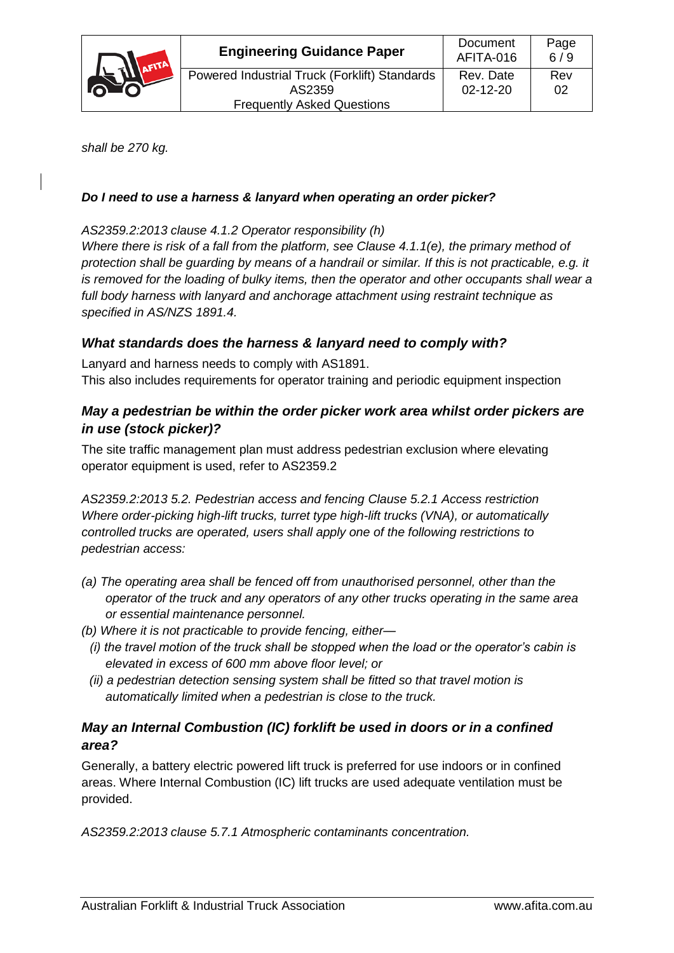

*shall be 270 kg.*

## *Do I need to use a harness & lanyard when operating an order picker?*

### *AS2359.2:2013 clause 4.1.2 Operator responsibility (h)*

*Where there is risk of a fall from the platform, see Clause 4.1.1(e), the primary method of protection shall be guarding by means of a handrail or similar. If this is not practicable, e.g. it is removed for the loading of bulky items, then the operator and other occupants shall wear a full body harness with lanyard and anchorage attachment using restraint technique as specified in AS/NZS 1891.4.*

## *What standards does the harness & lanyard need to comply with?*

Lanyard and harness needs to comply with AS1891. This also includes requirements for operator training and periodic equipment inspection

## *May a pedestrian be within the order picker work area whilst order pickers are in use (stock picker)?*

The site traffic management plan must address pedestrian exclusion where elevating operator equipment is used, refer to AS2359.2

*AS2359.2:2013 5.2. Pedestrian access and fencing Clause 5.2.1 Access restriction Where order-picking high-lift trucks, turret type high-lift trucks (VNA), or automatically controlled trucks are operated, users shall apply one of the following restrictions to pedestrian access:*

- *(a) The operating area shall be fenced off from unauthorised personnel, other than the operator of the truck and any operators of any other trucks operating in the same area or essential maintenance personnel.*
- *(b) Where it is not practicable to provide fencing, either—*
- *(i) the travel motion of the truck shall be stopped when the load or the operator's cabin is elevated in excess of 600 mm above floor level; or*
- *(ii) a pedestrian detection sensing system shall be fitted so that travel motion is automatically limited when a pedestrian is close to the truck.*

## *May an Internal Combustion (IC) forklift be used in doors or in a confined area?*

Generally, a battery electric powered lift truck is preferred for use indoors or in confined areas. Where Internal Combustion (IC) lift trucks are used adequate ventilation must be provided.

*AS2359.2:2013 clause 5.7.1 Atmospheric contaminants concentration.*

6 / 9

Rev 02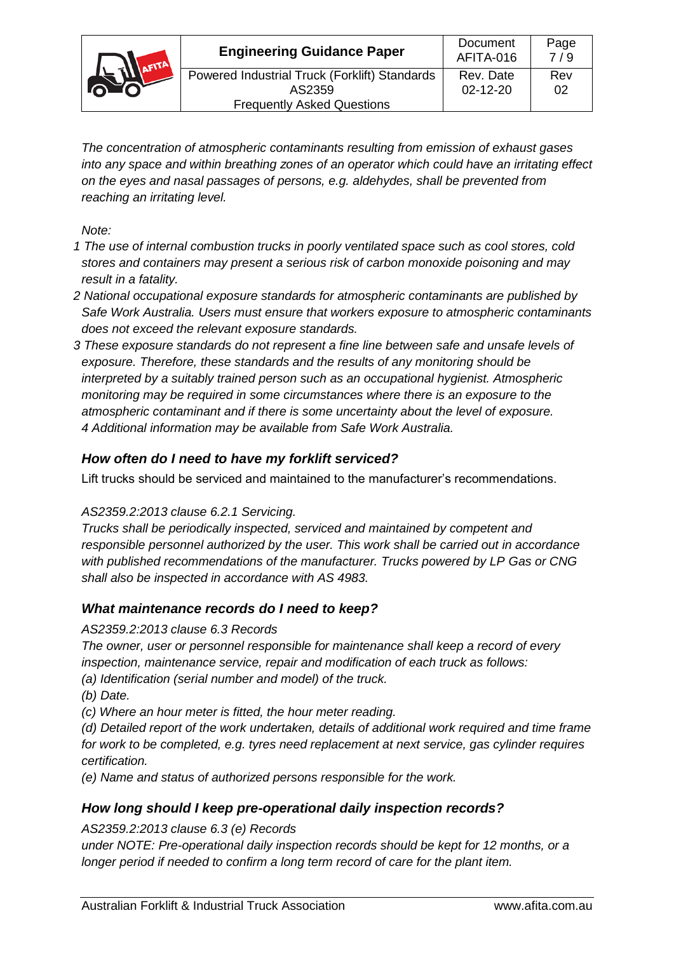| ATI <sub>a</sub> | <b>Engineering Guidance Paper</b>             | Document<br>AFITA-016 | Page<br>7/9 |
|------------------|-----------------------------------------------|-----------------------|-------------|
|                  | Powered Industrial Truck (Forklift) Standards | Rev. Date             | Rev         |
|                  | AS2359                                        | $02 - 12 - 20$        | 02          |
|                  | <b>Frequently Asked Questions</b>             |                       |             |

*The concentration of atmospheric contaminants resulting from emission of exhaust gases into any space and within breathing zones of an operator which could have an irritating effect on the eyes and nasal passages of persons, e.g. aldehydes, shall be prevented from reaching an irritating level.*

*Note:*

- *1 The use of internal combustion trucks in poorly ventilated space such as cool stores, cold stores and containers may present a serious risk of carbon monoxide poisoning and may result in a fatality.*
- *2 National occupational exposure standards for atmospheric contaminants are published by Safe Work Australia. Users must ensure that workers exposure to atmospheric contaminants does not exceed the relevant exposure standards.*
- *3 These exposure standards do not represent a fine line between safe and unsafe levels of exposure. Therefore, these standards and the results of any monitoring should be interpreted by a suitably trained person such as an occupational hygienist. Atmospheric monitoring may be required in some circumstances where there is an exposure to the atmospheric contaminant and if there is some uncertainty about the level of exposure. 4 Additional information may be available from Safe Work Australia.*

# *How often do I need to have my forklift serviced?*

Lift trucks should be serviced and maintained to the manufacturer's recommendations.

## *AS2359.2:2013 clause 6.2.1 Servicing.*

*Trucks shall be periodically inspected, serviced and maintained by competent and responsible personnel authorized by the user. This work shall be carried out in accordance with published recommendations of the manufacturer. Trucks powered by LP Gas or CNG shall also be inspected in accordance with AS 4983.*

## *What maintenance records do I need to keep?*

## *AS2359.2:2013 clause 6.3 Records*

*The owner, user or personnel responsible for maintenance shall keep a record of every inspection, maintenance service, repair and modification of each truck as follows:*

*(a) Identification (serial number and model) of the truck.*

*(b) Date.*

*(c) Where an hour meter is fitted, the hour meter reading.*

*(d) Detailed report of the work undertaken, details of additional work required and time frame for work to be completed, e.g. tyres need replacement at next service, gas cylinder requires certification.*

*(e) Name and status of authorized persons responsible for the work.*

## *How long should I keep pre-operational daily inspection records?*

*AS2359.2:2013 clause 6.3 (e) Records*

*under NOTE: Pre-operational daily inspection records should be kept for 12 months, or a longer period if needed to confirm a long term record of care for the plant item.*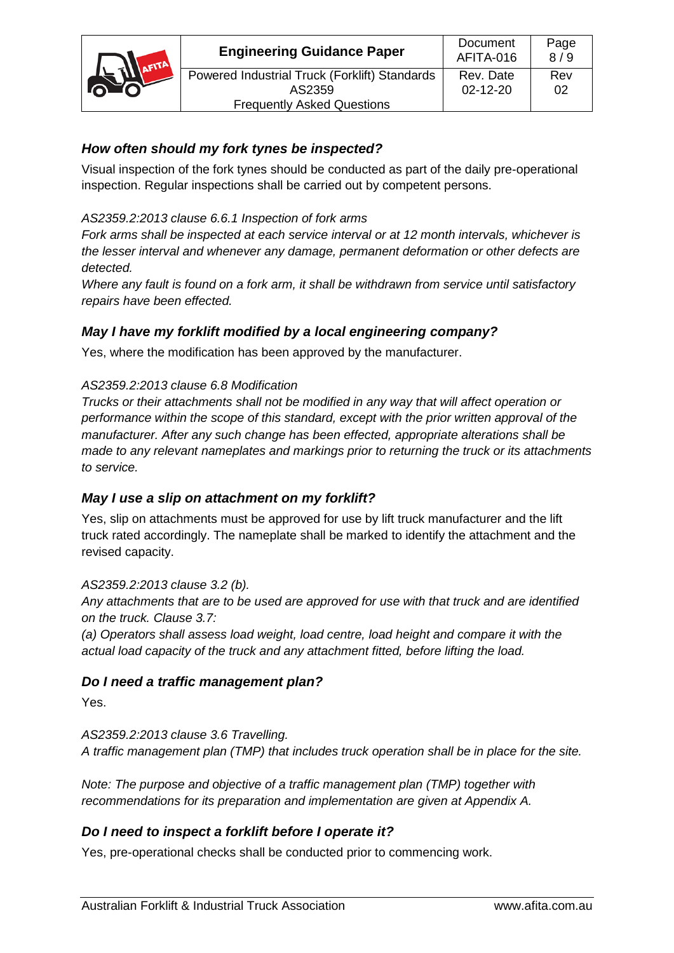| AFITA | <b>Engineering Guidance Paper</b>             | Document<br>AFITA-016 | Page<br>8/9 |
|-------|-----------------------------------------------|-----------------------|-------------|
|       | Powered Industrial Truck (Forklift) Standards | Rev. Date             | Rev         |
| n To  | AS2359                                        | $02 - 12 - 20$        | 02          |
|       | <b>Frequently Asked Questions</b>             |                       |             |

# *How often should my fork tynes be inspected?*

Visual inspection of the fork tynes should be conducted as part of the daily pre-operational inspection. Regular inspections shall be carried out by competent persons.

## *AS2359.2:2013 clause 6.6.1 Inspection of fork arms*

*Fork arms shall be inspected at each service interval or at 12 month intervals, whichever is the lesser interval and whenever any damage, permanent deformation or other defects are detected.*

*Where any fault is found on a fork arm, it shall be withdrawn from service until satisfactory repairs have been effected.*

## *May I have my forklift modified by a local engineering company?*

Yes, where the modification has been approved by the manufacturer.

## *AS2359.2:2013 clause 6.8 Modification*

*Trucks or their attachments shall not be modified in any way that will affect operation or performance within the scope of this standard, except with the prior written approval of the manufacturer. After any such change has been effected, appropriate alterations shall be made to any relevant nameplates and markings prior to returning the truck or its attachments to service.*

## *May I use a slip on attachment on my forklift?*

Yes, slip on attachments must be approved for use by lift truck manufacturer and the lift truck rated accordingly. The nameplate shall be marked to identify the attachment and the revised capacity.

## *AS2359.2:2013 clause 3.2 (b).*

*Any attachments that are to be used are approved for use with that truck and are identified on the truck. Clause 3.7:*

*(a) Operators shall assess load weight, load centre, load height and compare it with the actual load capacity of the truck and any attachment fitted, before lifting the load.*

## *Do I need a traffic management plan?*

Yes.

*AS2359.2:2013 clause 3.6 Travelling. A traffic management plan (TMP) that includes truck operation shall be in place for the site.*

*Note: The purpose and objective of a traffic management plan (TMP) together with recommendations for its preparation and implementation are given at Appendix A.*

## *Do I need to inspect a forklift before I operate it?*

Yes, pre-operational checks shall be conducted prior to commencing work.